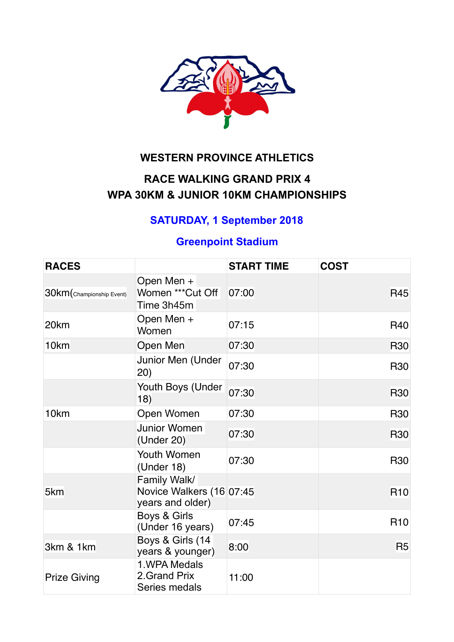

## **WESTERN PROVINCE ATHLETICS**

# **RACE WALKING GRAND PRIX 4 WPA 30KM & JUNIOR 10KM CHAMPIONSHIPS**

# **SATURDAY, 1 September 2018**

## **Greenpoint Stadium**

| <b>RACES</b>              |                                                              | <b>START TIME</b> | <b>COST</b>    |
|---------------------------|--------------------------------------------------------------|-------------------|----------------|
| 30km (Championship Event) | Open Men +<br>Women *** Cut Off<br>Time 3h45m                | 07:00             | <b>R45</b>     |
| 20 <sub>km</sub>          | Open Men +<br>Women                                          | 07:15             | <b>R40</b>     |
| 10 <sub>km</sub>          | Open Men                                                     | 07:30             | <b>R30</b>     |
|                           | Junior Men (Under<br>(20)                                    | 07:30             | <b>R30</b>     |
|                           | Youth Boys (Under<br>18)                                     | 07:30             | <b>R30</b>     |
| 10km                      | Open Women                                                   | 07:30             | <b>R30</b>     |
|                           | <b>Junior Women</b><br>(Under 20)                            | 07:30             | <b>R30</b>     |
|                           | <b>Youth Women</b><br>(Under 18)                             | 07:30             | <b>R30</b>     |
| 5km                       | Family Walk/<br>Novice Walkers (16 07:45<br>years and older) |                   | <b>R10</b>     |
|                           | Boys & Girls<br>(Under 16 years)                             | 07:45             | <b>R10</b>     |
| 3km & 1km                 | Boys & Girls (14<br>years & younger)                         | 8:00              | R <sub>5</sub> |
| <b>Prize Giving</b>       | 1. WPA Medals<br>2. Grand Prix<br>Series medals              | 11:00             |                |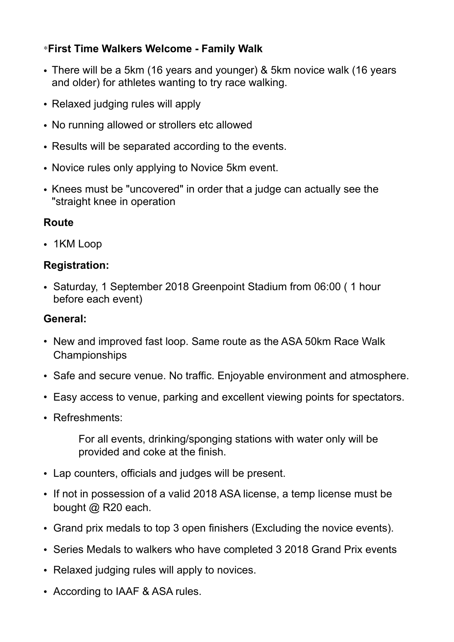## \***First Time Walkers Welcome - Family Walk**

- There will be a 5km (16 years and younger) & 5km novice walk (16 years and older) for athletes wanting to try race walking.
- Relaxed judging rules will apply
- No running allowed or strollers etc allowed
- Results will be separated according to the events.
- Novice rules only applying to Novice 5km event.
- Knees must be "uncovered" in order that a judge can actually see the "straight knee in operation

### **Route**

• 1KM Loop

### **Registration:**

• Saturday, 1 September 2018 Greenpoint Stadium from 06:00 ( 1 hour before each event)

### **General:**

- New and improved fast loop. Same route as the ASA 50km Race Walk Championships
- Safe and secure venue. No traffic. Enjoyable environment and atmosphere.
- Easy access to venue, parking and excellent viewing points for spectators.
- Refreshments:

For all events, drinking/sponging stations with water only will be provided and coke at the finish.

- Lap counters, officials and judges will be present.
- If not in possession of a valid 2018 ASA license, a temp license must be bought @ R20 each.
- Grand prix medals to top 3 open finishers (Excluding the novice events).
- Series Medals to walkers who have completed 3 2018 Grand Prix events
- Relaxed judging rules will apply to novices.
- According to IAAF & ASA rules.